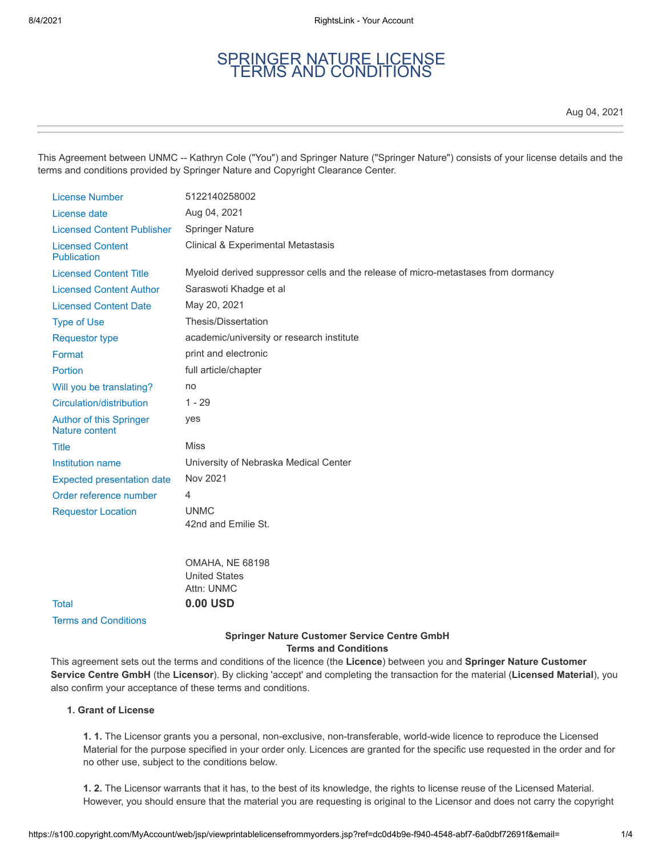# SPRINGER NATURE LICENSE TERMS AND CONDITIONS

Aug 04, 2021

This Agreement between UNMC -- Kathryn Cole ("You") and Springer Nature ("Springer Nature") consists of your license details and the terms and conditions provided by Springer Nature and Copyright Clearance Center.

| <b>License Number</b>                            | 5122140258002                                                                      |
|--------------------------------------------------|------------------------------------------------------------------------------------|
| License date                                     | Aug 04, 2021                                                                       |
| <b>Licensed Content Publisher</b>                | <b>Springer Nature</b>                                                             |
| <b>Licensed Content</b><br><b>Publication</b>    | Clinical & Experimental Metastasis                                                 |
| <b>Licensed Content Title</b>                    | Myeloid derived suppressor cells and the release of micro-metastases from dormancy |
| <b>Licensed Content Author</b>                   | Saraswoti Khadge et al                                                             |
| <b>Licensed Content Date</b>                     | May 20, 2021                                                                       |
| <b>Type of Use</b>                               | Thesis/Dissertation                                                                |
| <b>Requestor type</b>                            | academic/university or research institute                                          |
| Format                                           | print and electronic                                                               |
| Portion                                          | full article/chapter                                                               |
| Will you be translating?                         | no                                                                                 |
| Circulation/distribution                         | $1 - 29$                                                                           |
| <b>Author of this Springer</b><br>Nature content | yes                                                                                |
| <b>Title</b>                                     | <b>Miss</b>                                                                        |
| Institution name                                 | University of Nebraska Medical Center                                              |
| <b>Expected presentation date</b>                | Nov 2021                                                                           |
| Order reference number                           | 4                                                                                  |
| <b>Requestor Location</b>                        | <b>UNMC</b>                                                                        |
|                                                  | 42nd and Emilie St.                                                                |
|                                                  | <b>OMAHA, NE 68198</b><br><b>United States</b><br>Attn: UNMC                       |
| <b>Total</b>                                     | 0.00 USD                                                                           |
| <b>Terms and Conditions</b>                      |                                                                                    |

# **Springer Nature Customer Service Centre GmbH Terms and Conditions**

This agreement sets out the terms and conditions of the licence (the **Licence**) between you and **Springer Nature Customer Service Centre GmbH** (the **Licensor**). By clicking 'accept' and completing the transaction for the material (**Licensed Material**), you also confirm your acceptance of these terms and conditions.

## **1. Grant of License**

**1. 1.** The Licensor grants you a personal, non-exclusive, non-transferable, world-wide licence to reproduce the Licensed Material for the purpose specified in your order only. Licences are granted for the specific use requested in the order and for no other use, subject to the conditions below.

**1. 2.** The Licensor warrants that it has, to the best of its knowledge, the rights to license reuse of the Licensed Material. However, you should ensure that the material you are requesting is original to the Licensor and does not carry the copyright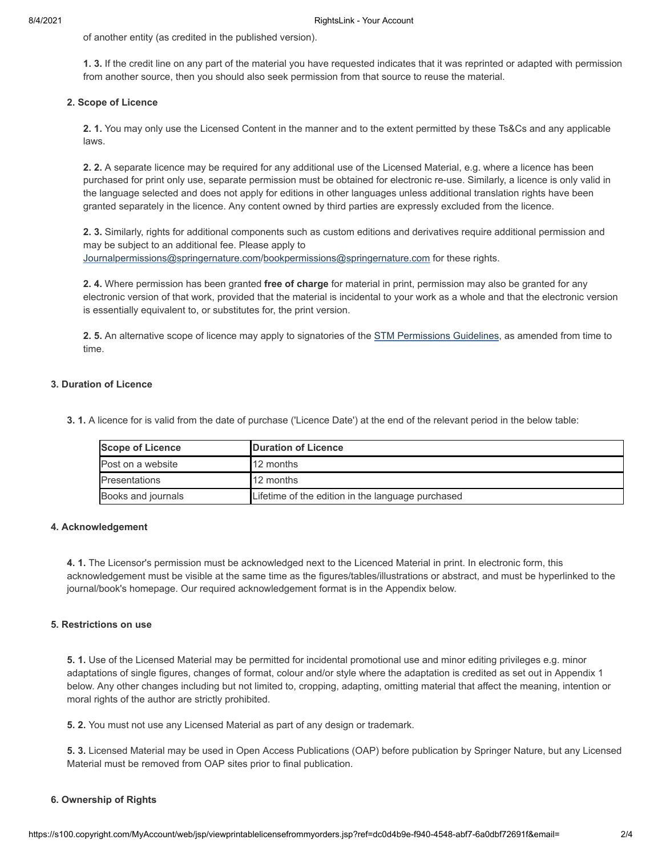of another entity (as credited in the published version).

**1. 3.** If the credit line on any part of the material you have requested indicates that it was reprinted or adapted with permission from another source, then you should also seek permission from that source to reuse the material.

## **2. Scope of Licence**

**2. 1.** You may only use the Licensed Content in the manner and to the extent permitted by these Ts&Cs and any applicable laws.

**2. 2.** A separate licence may be required for any additional use of the Licensed Material, e.g. where a licence has been purchased for print only use, separate permission must be obtained for electronic re-use. Similarly, a licence is only valid in the language selected and does not apply for editions in other languages unless additional translation rights have been granted separately in the licence. Any content owned by third parties are expressly excluded from the licence.

**2. 3.** Similarly, rights for additional components such as custom editions and derivatives require additional permission and may be subject to an additional fee. Please apply to [Journalpermissions@springernature.com](mailto:Journalpermissions@springernature.com)[/bookpermissions@springernature.com](mailto:bookpermissions@springernature.com) for these rights.

**2. 4.** Where permission has been granted **free of charge** for material in print, permission may also be granted for any electronic version of that work, provided that the material is incidental to your work as a whole and that the electronic version is essentially equivalent to, or substitutes for, the print version.

**2. 5.** An alternative scope of licence may apply to signatories of the [STM Permissions Guidelines,](http://www.stm-assoc.org/intellectual-property/permissions/permissions-guidelines/) as amended from time to time.

## **3. Duration of Licence**

**3. 1.** A licence for is valid from the date of purchase ('Licence Date') at the end of the relevant period in the below table:

| <b>Scope of Licence</b> | <b>IDuration of Licence</b>                       |
|-------------------------|---------------------------------------------------|
| IPost on a website      | <b>12 months</b>                                  |
| <b>IPresentations</b>   | <b>12 months</b>                                  |
| Books and journals      | Lifetime of the edition in the language purchased |

## **4. Acknowledgement**

**4. 1.** The Licensor's permission must be acknowledged next to the Licenced Material in print. In electronic form, this acknowledgement must be visible at the same time as the figures/tables/illustrations or abstract, and must be hyperlinked to the journal/book's homepage. Our required acknowledgement format is in the Appendix below.

## **5. Restrictions on use**

**5. 1.** Use of the Licensed Material may be permitted for incidental promotional use and minor editing privileges e.g. minor adaptations of single figures, changes of format, colour and/or style where the adaptation is credited as set out in Appendix 1 below. Any other changes including but not limited to, cropping, adapting, omitting material that affect the meaning, intention or moral rights of the author are strictly prohibited.

**5. 2.** You must not use any Licensed Material as part of any design or trademark.

**5. 3.** Licensed Material may be used in Open Access Publications (OAP) before publication by Springer Nature, but any Licensed Material must be removed from OAP sites prior to final publication.

## **6. Ownership of Rights**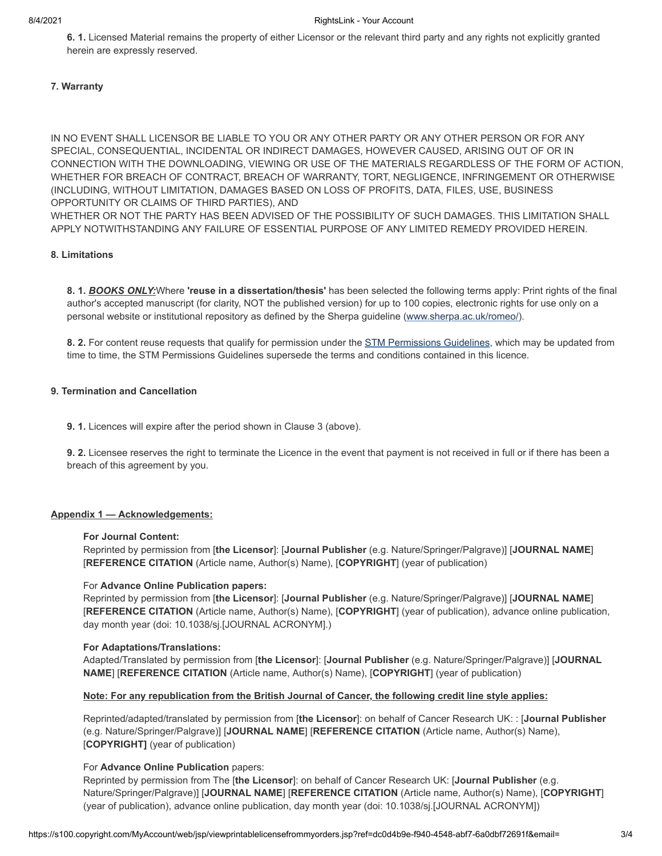**6. 1.** Licensed Material remains the property of either Licensor or the relevant third party and any rights not explicitly granted herein are expressly reserved.

## **7. Warranty**

IN NO EVENT SHALL LICENSOR BE LIABLE TO YOU OR ANY OTHER PARTY OR ANY OTHER PERSON OR FOR ANY SPECIAL, CONSEQUENTIAL, INCIDENTAL OR INDIRECT DAMAGES, HOWEVER CAUSED, ARISING OUT OF OR IN CONNECTION WITH THE DOWNLOADING, VIEWING OR USE OF THE MATERIALS REGARDLESS OF THE FORM OF ACTION, WHETHER FOR BREACH OF CONTRACT, BREACH OF WARRANTY, TORT, NEGLIGENCE, INFRINGEMENT OR OTHERWISE (INCLUDING, WITHOUT LIMITATION, DAMAGES BASED ON LOSS OF PROFITS, DATA, FILES, USE, BUSINESS OPPORTUNITY OR CLAIMS OF THIRD PARTIES), AND

WHETHER OR NOT THE PARTY HAS BEEN ADVISED OF THE POSSIBILITY OF SUCH DAMAGES. THIS LIMITATION SHALL APPLY NOTWITHSTANDING ANY FAILURE OF ESSENTIAL PURPOSE OF ANY LIMITED REMEDY PROVIDED HEREIN.

## **8. Limitations**

**8. 1.** *BOOKS ONLY:*Where **'reuse in a dissertation/thesis'** has been selected the following terms apply: Print rights of the final author's accepted manuscript (for clarity, NOT the published version) for up to 100 copies, electronic rights for use only on a personal website or institutional repository as defined by the Sherpa guideline ([www.sherpa.ac.uk/romeo/\)](http://www.sherpa.ac.uk/romeo/).

**8. 2.** For content reuse requests that qualify for permission under the [STM Permissions Guidelines,](https://www.stm-assoc.org/2020_09_30_STM_Permission_Guidelines_2020.pdf) which may be updated from time to time, the STM Permissions Guidelines supersede the terms and conditions contained in this licence.

## **9. Termination and Cancellation**

**9. 1.** Licences will expire after the period shown in Clause 3 (above).

**9. 2.** Licensee reserves the right to terminate the Licence in the event that payment is not received in full or if there has been a breach of this agreement by you.

## **Appendix 1 — Acknowledgements:**

## **For Journal Content:**

Reprinted by permission from [**the Licensor**]: [**Journal Publisher** (e.g. Nature/Springer/Palgrave)] [**JOURNAL NAME**] [**REFERENCE CITATION** (Article name, Author(s) Name), [**COPYRIGHT**] (year of publication)

## For **Advance Online Publication papers:**

Reprinted by permission from [**the Licensor**]: [**Journal Publisher** (e.g. Nature/Springer/Palgrave)] [**JOURNAL NAME**] [**REFERENCE CITATION** (Article name, Author(s) Name), [**COPYRIGHT**] (year of publication), advance online publication, day month year (doi: 10.1038/sj.[JOURNAL ACRONYM].)

## **For Adaptations/Translations:**

Adapted/Translated by permission from [**the Licensor**]: [**Journal Publisher** (e.g. Nature/Springer/Palgrave)] [**JOURNAL NAME**] [**REFERENCE CITATION** (Article name, Author(s) Name), [**COPYRIGHT**] (year of publication)

## **Note: For any republication from the British Journal of Cancer, the following credit line style applies:**

Reprinted/adapted/translated by permission from [**the Licensor**]: on behalf of Cancer Research UK: : [**Journal Publisher** (e.g. Nature/Springer/Palgrave)] [**JOURNAL NAME**] [**REFERENCE CITATION** (Article name, Author(s) Name), [**COPYRIGHT]** (year of publication)

## For **Advance Online Publication** papers:

Reprinted by permission from The [**the Licensor**]: on behalf of Cancer Research UK: [**Journal Publisher** (e.g. Nature/Springer/Palgrave)] [**JOURNAL NAME**] [**REFERENCE CITATION** (Article name, Author(s) Name), [**COPYRIGHT**] (year of publication), advance online publication, day month year (doi: 10.1038/sj.[JOURNAL ACRONYM])